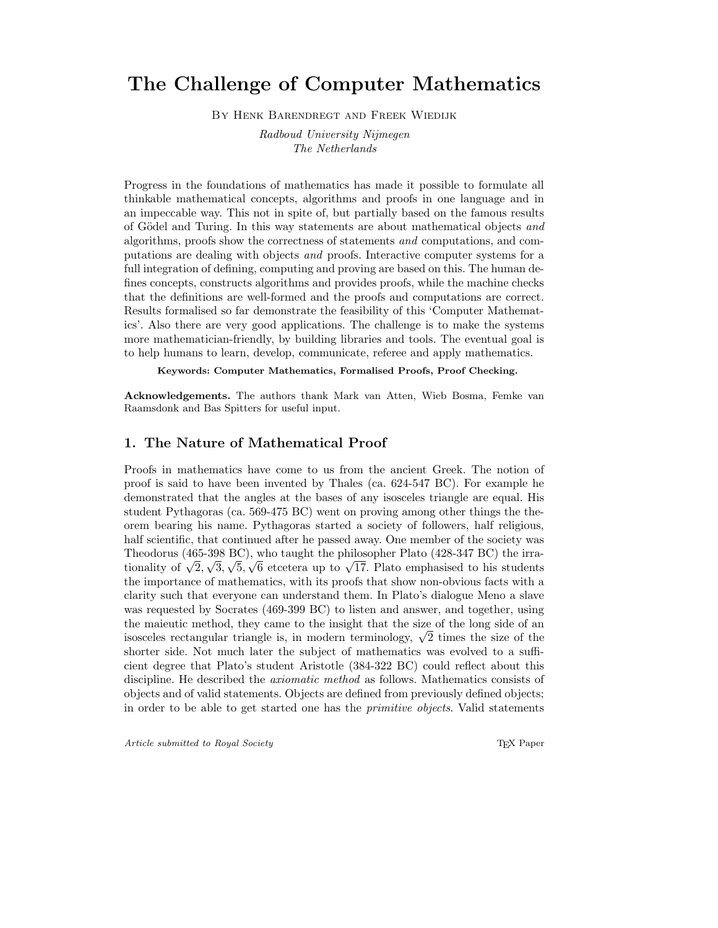# The Challenge of Computer Mathematics

By Henk Barendregt and Freek Wiedijk

Radboud University Nijmegen The Netherlands

Progress in the foundations of mathematics has made it possible to formulate all thinkable mathematical concepts, algorithms and proofs in one language and in an impeccable way. This not in spite of, but partially based on the famous results of Gödel and Turing. In this way statements are about mathematical objects and algorithms, proofs show the correctness of statements and computations, and computations are dealing with objects and proofs. Interactive computer systems for a full integration of defining, computing and proving are based on this. The human defines concepts, constructs algorithms and provides proofs, while the machine checks that the definitions are well-formed and the proofs and computations are correct. Results formalised so far demonstrate the feasibility of this 'Computer Mathematics'. Also there are very good applications. The challenge is to make the systems more mathematician-friendly, by building libraries and tools. The eventual goal is to help humans to learn, develop, communicate, referee and apply mathematics.

Keywords: Computer Mathematics, Formalised Proofs, Proof Checking.

Acknowledgements. The authors thank Mark van Atten, Wieb Bosma, Femke van Raamsdonk and Bas Spitters for useful input.

## 1. The Nature of Mathematical Proof

Proofs in mathematics have come to us from the ancient Greek. The notion of proof is said to have been invented by Thales (ca. 624-547 BC). For example he demonstrated that the angles at the bases of any isosceles triangle are equal. His student Pythagoras (ca. 569-475 BC) went on proving among other things the theorem bearing his name. Pythagoras started a society of followers, half religious, half scientific, that continued after he passed away. One member of the society was Theodorus (465-398 BC), who taught the philosopher Plato (428-347 BC) the irrationality of  $\sqrt{2}$ ,  $\sqrt{3}$ ,  $\sqrt{5}$ ,  $\sqrt{6}$  etcetera up to  $\sqrt{17}$ . Plato emphasised to his students the importance of mathematics, with its proofs that show non-obvious facts with a clarity such that everyone can understand them. In Plato's dialogue Meno a slave was requested by Socrates (469-399 BC) to listen and answer, and together, using the maieutic method, they came to the insight that the size of the long side of an isosceles rectangular triangle is, in modern terminology,  $\sqrt{2}$  times the size of the shorter side. Not much later the subject of mathematics was evolved to a sufficient degree that Plato's student Aristotle (384-322 BC) could reflect about this discipline. He described the axiomatic method as follows. Mathematics consists of objects and of valid statements. Objects are defined from previously defined objects; in order to be able to get started one has the primitive objects. Valid statements

Article submitted to Royal Society TEX Paper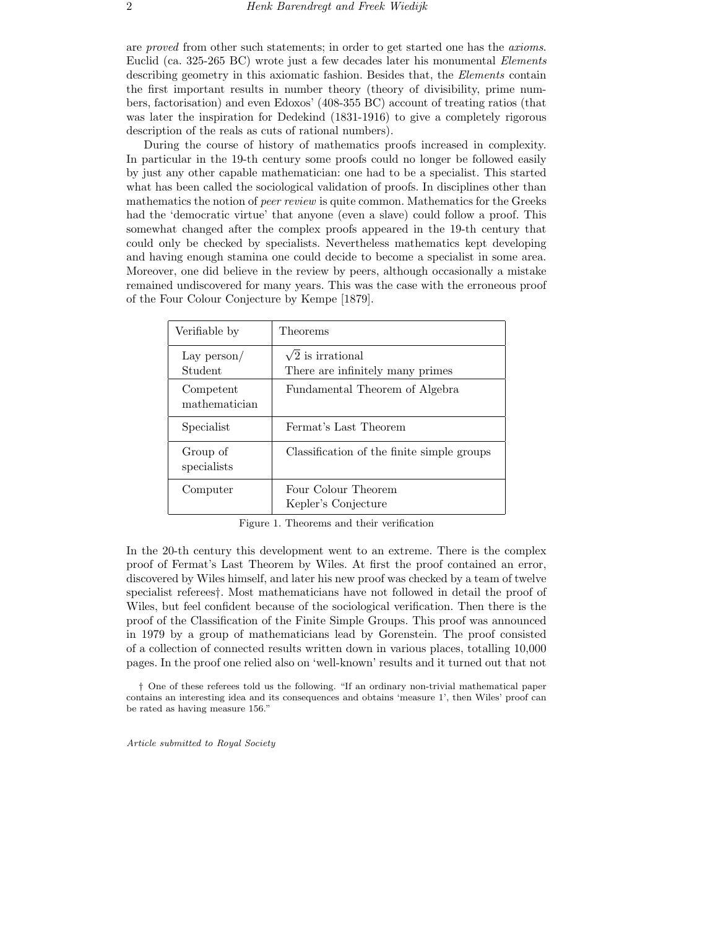are proved from other such statements; in order to get started one has the axioms. Euclid (ca. 325-265 BC) wrote just a few decades later his monumental Elements describing geometry in this axiomatic fashion. Besides that, the *Elements* contain the first important results in number theory (theory of divisibility, prime numbers, factorisation) and even Edoxos' (408-355 BC) account of treating ratios (that was later the inspiration for Dedekind (1831-1916) to give a completely rigorous description of the reals as cuts of rational numbers).

During the course of history of mathematics proofs increased in complexity. In particular in the 19-th century some proofs could no longer be followed easily by just any other capable mathematician: one had to be a specialist. This started what has been called the sociological validation of proofs. In disciplines other than mathematics the notion of *peer review* is quite common. Mathematics for the Greeks had the 'democratic virtue' that anyone (even a slave) could follow a proof. This somewhat changed after the complex proofs appeared in the 19-th century that could only be checked by specialists. Nevertheless mathematics kept developing and having enough stamina one could decide to become a specialist in some area. Moreover, one did believe in the review by peers, although occasionally a mistake remained undiscovered for many years. This was the case with the erroneous proof of the Four Colour Conjecture by Kempe [1879].

| Verifiable by              | Theorems                                                     |
|----------------------------|--------------------------------------------------------------|
| Lay $person/$<br>Student   | $\sqrt{2}$ is irrational<br>There are infinitely many primes |
| Competent<br>mathematician | Fundamental Theorem of Algebra                               |
| Specialist                 | Fermat's Last Theorem                                        |
| Group of<br>specialists    | Classification of the finite simple groups                   |
| Computer                   | Four Colour Theorem<br>Kepler's Conjecture                   |

Figure 1. Theorems and their verification

In the 20-th century this development went to an extreme. There is the complex proof of Fermat's Last Theorem by Wiles. At first the proof contained an error, discovered by Wiles himself, and later his new proof was checked by a team of twelve specialist referees†. Most mathematicians have not followed in detail the proof of Wiles, but feel confident because of the sociological verification. Then there is the proof of the Classification of the Finite Simple Groups. This proof was announced in 1979 by a group of mathematicians lead by Gorenstein. The proof consisted of a collection of connected results written down in various places, totalling 10,000 pages. In the proof one relied also on 'well-known' results and it turned out that not

† One of these referees told us the following. "If an ordinary non-trivial mathematical paper contains an interesting idea and its consequences and obtains 'measure 1', then Wiles' proof can be rated as having measure 156."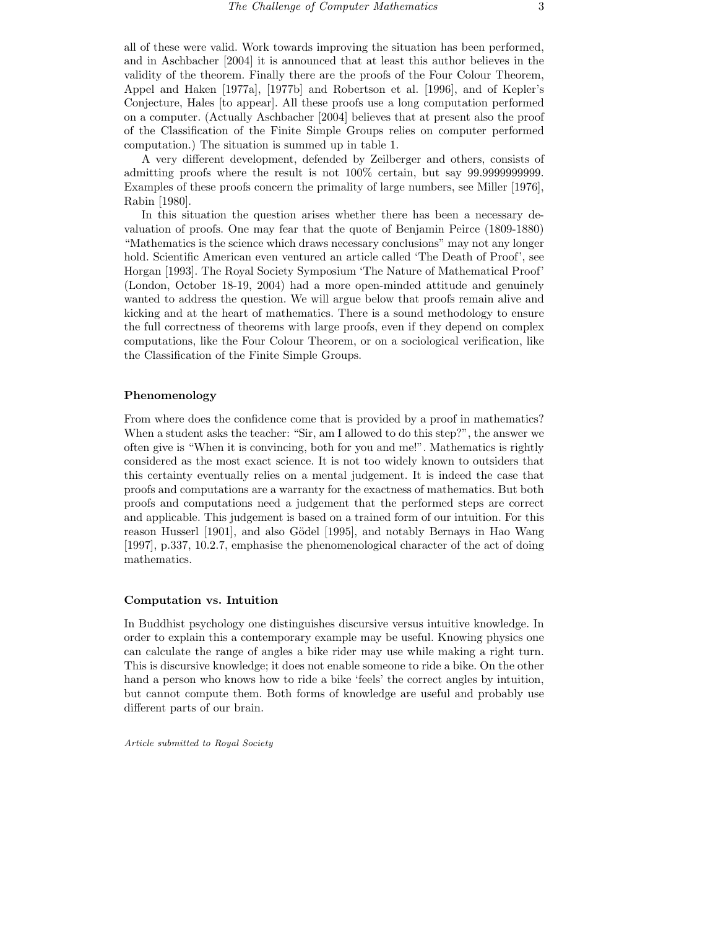all of these were valid. Work towards improving the situation has been performed, and in Aschbacher [2004] it is announced that at least this author believes in the validity of the theorem. Finally there are the proofs of the Four Colour Theorem, Appel and Haken [1977a], [1977b] and Robertson et al. [1996], and of Kepler's Conjecture, Hales [to appear]. All these proofs use a long computation performed on a computer. (Actually Aschbacher [2004] believes that at present also the proof of the Classification of the Finite Simple Groups relies on computer performed computation.) The situation is summed up in table 1.

A very different development, defended by Zeilberger and others, consists of admitting proofs where the result is not 100% certain, but say 99.9999999999. Examples of these proofs concern the primality of large numbers, see Miller [1976], Rabin [1980].

In this situation the question arises whether there has been a necessary devaluation of proofs. One may fear that the quote of Benjamin Peirce (1809-1880) "Mathematics is the science which draws necessary conclusions" may not any longer hold. Scientific American even ventured an article called 'The Death of Proof', see Horgan [1993]. The Royal Society Symposium 'The Nature of Mathematical Proof' (London, October 18-19, 2004) had a more open-minded attitude and genuinely wanted to address the question. We will argue below that proofs remain alive and kicking and at the heart of mathematics. There is a sound methodology to ensure the full correctness of theorems with large proofs, even if they depend on complex computations, like the Four Colour Theorem, or on a sociological verification, like the Classification of the Finite Simple Groups.

#### Phenomenology

From where does the confidence come that is provided by a proof in mathematics? When a student asks the teacher: "Sir, am I allowed to do this step?", the answer we often give is "When it is convincing, both for you and me!". Mathematics is rightly considered as the most exact science. It is not too widely known to outsiders that this certainty eventually relies on a mental judgement. It is indeed the case that proofs and computations are a warranty for the exactness of mathematics. But both proofs and computations need a judgement that the performed steps are correct and applicable. This judgement is based on a trained form of our intuition. For this reason Husserl [1901], and also Gödel [1995], and notably Bernays in Hao Wang [1997], p.337, 10.2.7, emphasise the phenomenological character of the act of doing mathematics.

#### Computation vs. Intuition

In Buddhist psychology one distinguishes discursive versus intuitive knowledge. In order to explain this a contemporary example may be useful. Knowing physics one can calculate the range of angles a bike rider may use while making a right turn. This is discursive knowledge; it does not enable someone to ride a bike. On the other hand a person who knows how to ride a bike 'feels' the correct angles by intuition, but cannot compute them. Both forms of knowledge are useful and probably use different parts of our brain.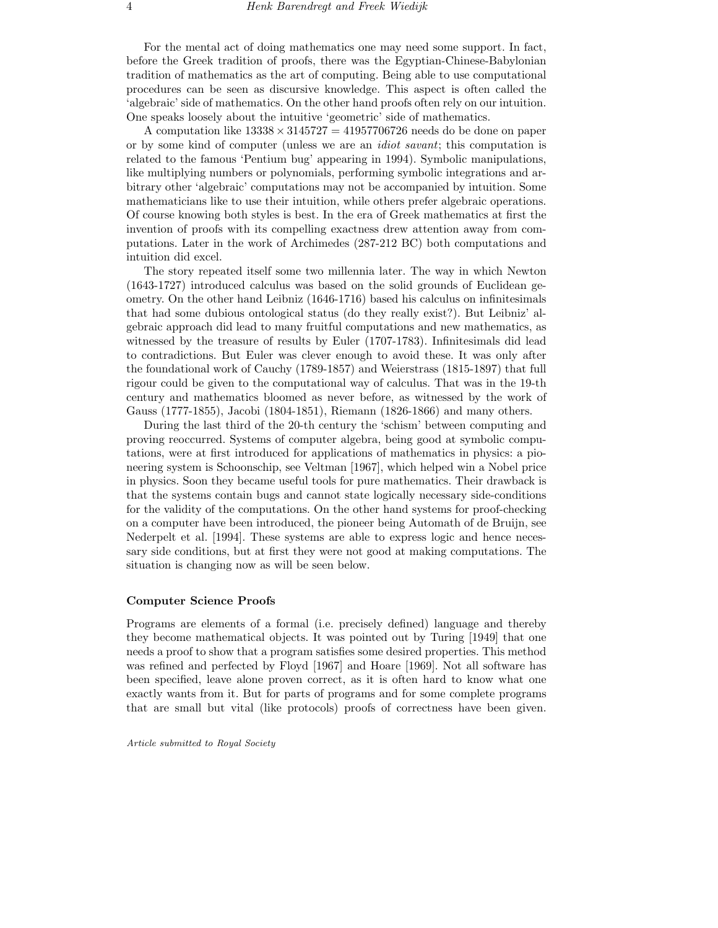For the mental act of doing mathematics one may need some support. In fact, before the Greek tradition of proofs, there was the Egyptian-Chinese-Babylonian tradition of mathematics as the art of computing. Being able to use computational procedures can be seen as discursive knowledge. This aspect is often called the 'algebraic' side of mathematics. On the other hand proofs often rely on our intuition. One speaks loosely about the intuitive 'geometric' side of mathematics.

A computation like  $13338 \times 3145727 = 41957706726$  needs do be done on paper or by some kind of computer (unless we are an idiot savant; this computation is related to the famous 'Pentium bug' appearing in 1994). Symbolic manipulations, like multiplying numbers or polynomials, performing symbolic integrations and arbitrary other 'algebraic' computations may not be accompanied by intuition. Some mathematicians like to use their intuition, while others prefer algebraic operations. Of course knowing both styles is best. In the era of Greek mathematics at first the invention of proofs with its compelling exactness drew attention away from computations. Later in the work of Archimedes (287-212 BC) both computations and intuition did excel.

The story repeated itself some two millennia later. The way in which Newton (1643-1727) introduced calculus was based on the solid grounds of Euclidean geometry. On the other hand Leibniz (1646-1716) based his calculus on infinitesimals that had some dubious ontological status (do they really exist?). But Leibniz' algebraic approach did lead to many fruitful computations and new mathematics, as witnessed by the treasure of results by Euler (1707-1783). Infinitesimals did lead to contradictions. But Euler was clever enough to avoid these. It was only after the foundational work of Cauchy (1789-1857) and Weierstrass (1815-1897) that full rigour could be given to the computational way of calculus. That was in the 19-th century and mathematics bloomed as never before, as witnessed by the work of Gauss (1777-1855), Jacobi (1804-1851), Riemann (1826-1866) and many others.

During the last third of the 20-th century the 'schism' between computing and proving reoccurred. Systems of computer algebra, being good at symbolic computations, were at first introduced for applications of mathematics in physics: a pioneering system is Schoonschip, see Veltman [1967], which helped win a Nobel price in physics. Soon they became useful tools for pure mathematics. Their drawback is that the systems contain bugs and cannot state logically necessary side-conditions for the validity of the computations. On the other hand systems for proof-checking on a computer have been introduced, the pioneer being Automath of de Bruijn, see Nederpelt et al. [1994]. These systems are able to express logic and hence necessary side conditions, but at first they were not good at making computations. The situation is changing now as will be seen below.

#### Computer Science Proofs

Programs are elements of a formal (i.e. precisely defined) language and thereby they become mathematical objects. It was pointed out by Turing [1949] that one needs a proof to show that a program satisfies some desired properties. This method was refined and perfected by Floyd [1967] and Hoare [1969]. Not all software has been specified, leave alone proven correct, as it is often hard to know what one exactly wants from it. But for parts of programs and for some complete programs that are small but vital (like protocols) proofs of correctness have been given.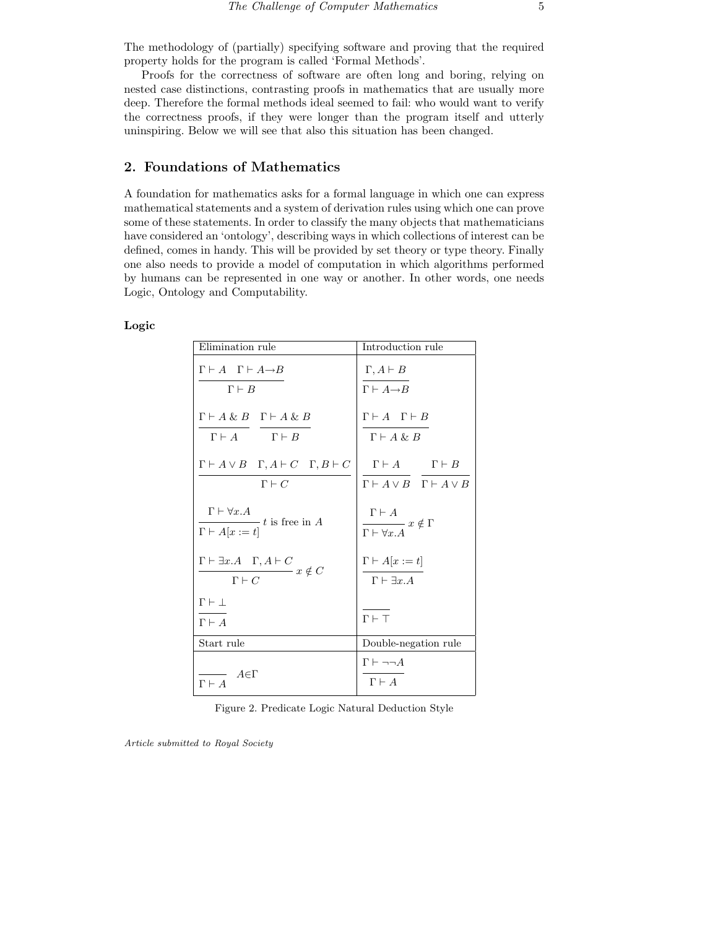The methodology of (partially) specifying software and proving that the required property holds for the program is called 'Formal Methods'.

Proofs for the correctness of software are often long and boring, relying on nested case distinctions, contrasting proofs in mathematics that are usually more deep. Therefore the formal methods ideal seemed to fail: who would want to verify the correctness proofs, if they were longer than the program itself and utterly uninspiring. Below we will see that also this situation has been changed.

# 2. Foundations of Mathematics

A foundation for mathematics asks for a formal language in which one can express mathematical statements and a system of derivation rules using which one can prove some of these statements. In order to classify the many objects that mathematicians have considered an 'ontology', describing ways in which collections of interest can be defined, comes in handy. This will be provided by set theory or type theory. Finally one also needs to provide a model of computation in which algorithms performed by humans can be represented in one way or another. In other words, one needs Logic, Ontology and Computability.

## Logic

| Elimination rule                                                                                          | Introduction rule                                                                                       |
|-----------------------------------------------------------------------------------------------------------|---------------------------------------------------------------------------------------------------------|
| $\Gamma \vdash A \quad \Gamma \vdash A \rightarrow B$<br>$\Gamma \vdash B$                                | $\Gamma, A \vdash B$<br>$\Gamma \vdash A \rightarrow B$                                                 |
| $\Gamma \vdash A \& B \quad \Gamma \vdash A \& B$<br>$\Gamma \vdash A \qquad \qquad \Gamma \vdash B$      | $\Gamma \vdash A \quad \Gamma \vdash B$<br>$\Gamma \vdash A \& B$                                       |
| $\Gamma \vdash A \lor B \quad \Gamma, A \vdash C \quad \Gamma, B \vdash C$<br>$\Gamma \vdash C$           | $\Gamma \vdash A \qquad \quad \Gamma \vdash B$<br>$\Gamma \vdash A \lor B \quad \Gamma \vdash A \lor B$ |
| $\Gamma \vdash \forall x. A$<br>$-t$ is free in A<br>$\Gamma \vdash A[x := t]$                            | $\Gamma \vdash A$<br>$\overline{\Gamma \vdash \forall x . A}\; x \notin \Gamma$                         |
| $\Gamma \vdash \exists x.A \quad \Gamma, A \vdash C$<br>$\longrightarrow x \notin C$<br>$\Gamma \vdash C$ | $\Gamma \vdash A[x := t]$<br>$\Gamma \vdash \exists x.A$                                                |
| $\Gamma \vdash \bot$<br>$\Gamma \vdash A$                                                                 | $\Gamma \vdash \top$                                                                                    |
| Start rule                                                                                                | Double-negation rule                                                                                    |
| $A \in \Gamma$<br>$\Gamma \vdash A$                                                                       | $\Gamma \vdash \neg \neg A$<br>$\Gamma\vdash A$                                                         |

Figure 2. Predicate Logic Natural Deduction Style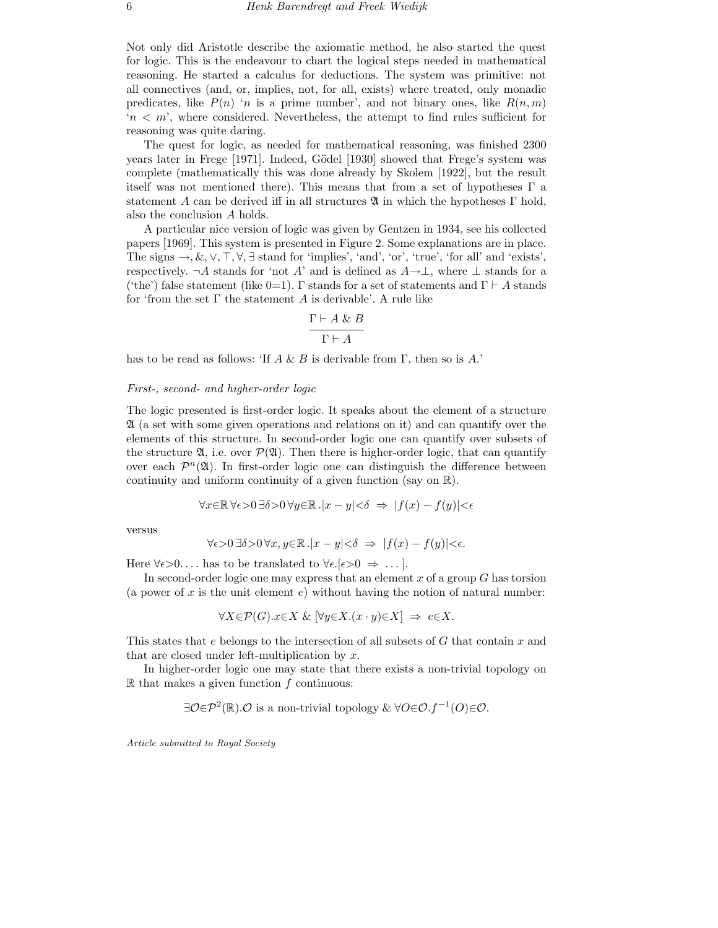Not only did Aristotle describe the axiomatic method, he also started the quest for logic. This is the endeavour to chart the logical steps needed in mathematical reasoning. He started a calculus for deductions. The system was primitive: not all connectives (and, or, implies, not, for all, exists) where treated, only monadic predicates, like  $P(n)$  'n is a prime number', and not binary ones, like  $R(n, m)$  $n < m$ , where considered. Nevertheless, the attempt to find rules sufficient for reasoning was quite daring.

The quest for logic, as needed for mathematical reasoning, was finished 2300 years later in Frege [1971]. Indeed, Gödel [1930] showed that Frege's system was complete (mathematically this was done already by Skolem [1922], but the result itself was not mentioned there). This means that from a set of hypotheses  $\Gamma$  a statement A can be derived iff in all structures  $\mathfrak A$  in which the hypotheses  $\Gamma$  hold, also the conclusion A holds.

A particular nice version of logic was given by Gentzen in 1934, see his collected papers [1969]. This system is presented in Figure 2. Some explanations are in place. The signs  $\rightarrow$ ,  $\&$ ,  $\vee$ ,  $\top$ ,  $\forall$ ,  $\exists$  stand for 'implies', 'and', 'or', 'true', 'for all' and 'exists', respectively.  $\neg A$  stands for 'not A' and is defined as  $A\rightarrow\perp$ , where  $\perp$  stands for a ('the') false statement (like 0=1). Γ stands for a set of statements and  $\Gamma \vdash A$  stands for 'from the set  $\Gamma$  the statement A is derivable'. A rule like

$$
\frac{\Gamma \vdash A \& B}{\Gamma \vdash A}
$$

has to be read as follows: 'If  $A \& B$  is derivable from  $\Gamma$ , then so is A.'

#### First-, second- and higher-order logic

The logic presented is first-order logic. It speaks about the element of a structure A (a set with some given operations and relations on it) and can quantify over the elements of this structure. In second-order logic one can quantify over subsets of the structure  $\mathfrak{A}$ , i.e. over  $\mathcal{P}(\mathfrak{A})$ . Then there is higher-order logic, that can quantify over each  $\mathcal{P}^n(\mathfrak{A})$ . In first-order logic one can distinguish the difference between continuity and uniform continuity of a given function (say on  $\mathbb{R}$ ).

$$
\forall x \in \mathbb{R} \,\forall \epsilon > 0 \,\exists \delta > 0 \,\forall y \in \mathbb{R} \,.\vert x - y \vert < \delta \ \Rightarrow \ \vert f(x) - f(y) \vert < \epsilon
$$

versus

$$
\forall \epsilon > 0 \,\exists \delta > 0 \,\forall x, y \in \mathbb{R}. |x - y| < \delta \Rightarrow |f(x) - f(y)| < \epsilon.
$$

Here  $\forall \epsilon > 0$ .... has to be translated to  $\forall \epsilon. [\epsilon > 0 \Rightarrow ...].$ 

In second-order logic one may express that an element  $x$  of a group  $G$  has torsion (a power of x is the unit element  $e$ ) without having the notion of natural number:

$$
\forall X \in \mathcal{P}(G). x \in X \& [\forall y \in X. (x \cdot y) \in X] \Rightarrow e \in X.
$$

This states that e belongs to the intersection of all subsets of  $G$  that contain  $x$  and that are closed under left-multiplication by  $x$ .

In higher-order logic one may state that there exists a non-trivial topology on  $\mathbb R$  that makes a given function  $f$  continuous:

 $\exists \mathcal{O} \in \mathcal{P}^2(\mathbb{R})$ . $\mathcal{O}$  is a non-trivial topology &  $\forall O \in \mathcal{O}$ .  $f^{-1}(O) \in \mathcal{O}$ .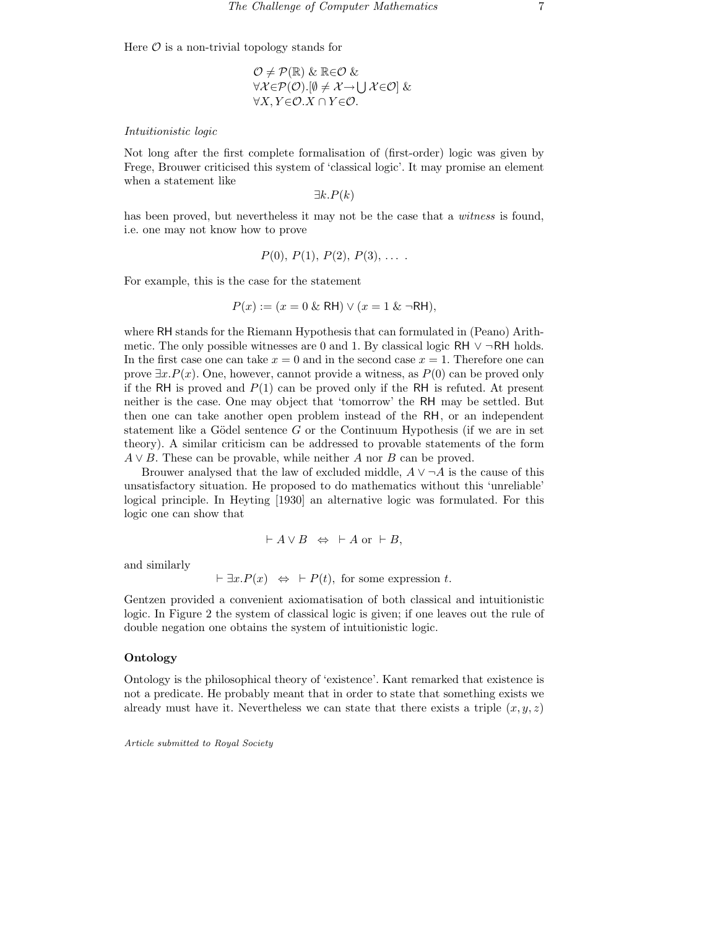Here  $\mathcal O$  is a non-trivial topology stands for

$$
\mathcal{O} \neq \mathcal{P}(\mathbb{R}) \& \mathbb{R} \in \mathcal{O} \& \\ \forall \mathcal{X} \in \mathcal{P}(\mathcal{O}).[\emptyset \neq \mathcal{X} \rightarrow \bigcup \mathcal{X} \in \mathcal{O}] \& \\ \forall X, Y \in \mathcal{O}.X \cap Y \in \mathcal{O}.
$$

#### Intuitionistic logic

Not long after the first complete formalisation of (first-order) logic was given by Frege, Brouwer criticised this system of 'classical logic'. It may promise an element when a statement like

 $\exists k.P(k)$ 

has been proved, but nevertheless it may not be the case that a *witness* is found, i.e. one may not know how to prove

$$
P(0), P(1), P(2), P(3), \ldots
$$

For example, this is the case for the statement

$$
P(x) := (x = 0 \& \text{ RH}) \lor (x = 1 \& \neg \text{RH}),
$$

where RH stands for the Riemann Hypothesis that can formulated in (Peano) Arithmetic. The only possible witnesses are 0 and 1. By classical logic RH  $\vee \neg RH$  holds. In the first case one can take  $x = 0$  and in the second case  $x = 1$ . Therefore one can prove  $\exists x.P(x)$ . One, however, cannot provide a witness, as  $P(0)$  can be proved only if the RH is proved and  $P(1)$  can be proved only if the RH is refuted. At present neither is the case. One may object that 'tomorrow' the RH may be settled. But then one can take another open problem instead of the RH, or an independent statement like a Gödel sentence G or the Continuum Hypothesis (if we are in set theory). A similar criticism can be addressed to provable statements of the form  $A \vee B$ . These can be provable, while neither A nor B can be proved.

Brouwer analysed that the law of excluded middle,  $A \vee \neg A$  is the cause of this unsatisfactory situation. He proposed to do mathematics without this 'unreliable' logical principle. In Heyting [1930] an alternative logic was formulated. For this logic one can show that

$$
\vdash A \lor B \ \Leftrightarrow \ \vdash A \text{ or } \vdash B,
$$

and similarly

$$
\vdash \exists x.P(x) \Leftrightarrow \vdash P(t), \text{ for some expression } t.
$$

Gentzen provided a convenient axiomatisation of both classical and intuitionistic logic. In Figure 2 the system of classical logic is given; if one leaves out the rule of double negation one obtains the system of intuitionistic logic.

#### Ontology

Ontology is the philosophical theory of 'existence'. Kant remarked that existence is not a predicate. He probably meant that in order to state that something exists we already must have it. Nevertheless we can state that there exists a triple  $(x, y, z)$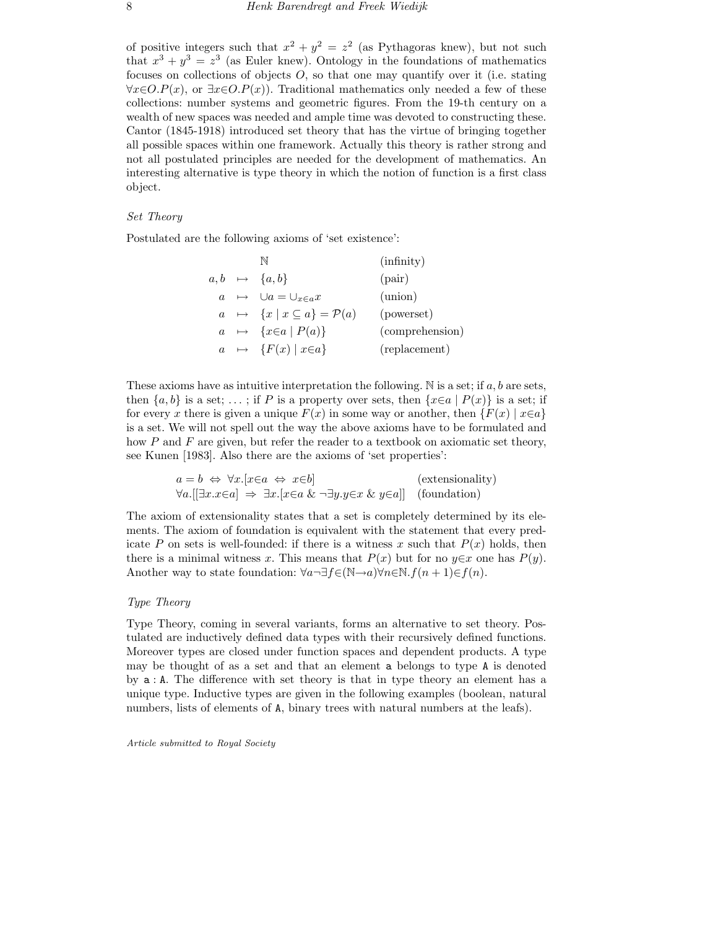of positive integers such that  $x^2 + y^2 = z^2$  (as Pythagoras knew), but not such that  $x^3 + y^3 = z^3$  (as Euler knew). Ontology in the foundations of mathematics focuses on collections of objects  $O$ , so that one may quantify over it (i.e. stating  $\forall x \in O.P(x)$ , or  $\exists x \in O.P(x)$ . Traditional mathematics only needed a few of these collections: number systems and geometric figures. From the 19-th century on a wealth of new spaces was needed and ample time was devoted to constructing these. Cantor (1845-1918) introduced set theory that has the virtue of bringing together all possible spaces within one framework. Actually this theory is rather strong and not all postulated principles are needed for the development of mathematics. An interesting alternative is type theory in which the notion of function is a first class object.

### Set Theory

Postulated are the following axioms of 'set existence':

|  |                                                       | (infinity)      |
|--|-------------------------------------------------------|-----------------|
|  | $a, b \mapsto \{a, b\}$                               | $(\text{pair})$ |
|  | $a \mapsto \cup a = \cup_{x \in a} x$                 | (union)         |
|  | $a \mapsto \{x \mid x \subseteq a\} = \mathcal{P}(a)$ | (powerset)      |
|  | $a \mapsto \{x \in a \mid P(a)\}\$                    | (comprehension) |
|  | $a \mapsto \{F(x) \mid x \in a\}$                     | (replacement)   |
|  |                                                       |                 |

These axioms have as intuitive interpretation the following. N is a set; if  $a, b$  are sets, then  $\{a, b\}$  is a set; ...; if P is a property over sets, then  $\{x \in a \mid P(x)\}\$ is a set; if for every x there is given a unique  $F(x)$  in some way or another, then  $\{F(x) | x \in a\}$ is a set. We will not spell out the way the above axioms have to be formulated and how  $P$  and  $F$  are given, but refer the reader to a textbook on axiomatic set theory, see Kunen [1983]. Also there are the axioms of 'set properties':

> $a = b \Leftrightarrow \forall x . [x \in a \Leftrightarrow x \in b]$  (extensionality)  $\forall a. [\exists x. x \in a] \Rightarrow \exists x. [x \in a \& \neg \exists y. y \in x \& y \in a]$  (foundation)

The axiom of extensionality states that a set is completely determined by its elements. The axiom of foundation is equivalent with the statement that every predicate P on sets is well-founded: if there is a witness x such that  $P(x)$  holds, then there is a minimal witness x. This means that  $P(x)$  but for no  $y \in x$  one has  $P(y)$ . Another way to state foundation:  $\forall a \exists f \in (\mathbb{N} \rightarrow a) \forall n \in \mathbb{N} \cdot f(n+1) \in f(n)$ .

#### Type Theory

Type Theory, coming in several variants, forms an alternative to set theory. Postulated are inductively defined data types with their recursively defined functions. Moreover types are closed under function spaces and dependent products. A type may be thought of as a set and that an element a belongs to type A is denoted by a : A. The difference with set theory is that in type theory an element has a unique type. Inductive types are given in the following examples (boolean, natural numbers, lists of elements of A, binary trees with natural numbers at the leafs).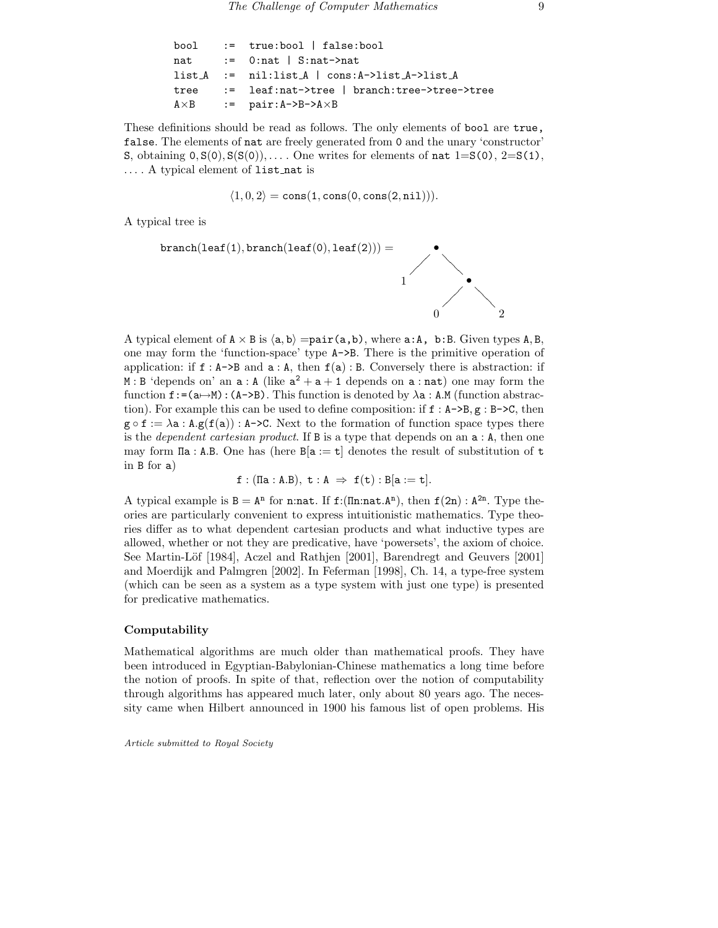|  | $bool := true:bool   false:bool$                 |
|--|--------------------------------------------------|
|  | nat $:=$ 0:nat $\mid$ S:nat->nat                 |
|  | $list_A := nil:list_A   cons:A->list_A->list_A$  |
|  | tree := leaf:nat->tree   branch:tree->tree->tree |
|  | $A \times B$ := pair:A->B->A $\times$ B          |
|  |                                                  |

These definitions should be read as follows. The only elements of bool are true, false. The elements of nat are freely generated from 0 and the unary 'constructor' S, obtaining  $0, S(0), S(S(0)), \ldots$  One writes for elements of nat  $1=S(0), 2=S(1),$ ... . A typical element of list nat is

 $\langle 1, 0, 2 \rangle = \text{cons}(1, \text{cons}(0, \text{cons}(2, \text{nil}))).$ 

A typical tree is

$$
\texttt{branch}(\texttt{leaf}(1),\texttt{branch}(\texttt{leaf}(0),\texttt{leaf}(2))) = \begin{picture}(2,0) \put(0,0) {\line(0,0){150}} \put(1,0) {\line(0,0){150}} \put(2,0) {\line(0,0){150}} \put(2,0) {\line(0,0){150}} \put(2,0) {\line(0,0){150}} \put(2,0) {\line(0,0){150}} \put(2,0) {\line(0,0){150}} \put(2,0) {\line(0,0){150}} \put(2,0) {\line(0,0){150}} \put(2,0) {\line(0,0){150}} \put(2,0) {\line(0,0){150}} \put(2,0) {\line(0,0){150}} \put(2,0) {\line(0,0){150}} \put(2,0) {\line(0,0){150}} \put(2,0) {\line(0,0){150}} \put(2,0) {\line(0,0){150}} \put(2,0) {\line(0,0){150}} \put(2,0) {\line(0,0){150}} \put(2,0) {\line(0,0){150}} \put(2,0) {\line(0,0){150}} \put(2,0) {\line(0,0){150}} \put(2,0) {\line(0,0){150}} \put(2,0) {\line(0,0){150}} \put(2,0) {\line(0,0){150}} \put(2,0) {\line(0,0){150}} \put(2,0) {\line(0,0){150}} \put(2,0) {\line(0,0){150}} \put(2,0) {\line(0,0){150}} \put(2,0) {\line(0,0){150}} \put(2,0) {\line(0,0){150}} \put(2,0) {\line(0,0){150}} \put(2,0) {\line(0,0){150}} \put(2,0) {\line(0,0){150}} \put(2,0) {\line(0,0){150}} \put(2,0) {\line(0,0){150}} \put(2,0) {\line(0,0){150}} \put(2,0) {\line(0,0){150}} \put(2,0) {\line(0,0){150}} \put(2,0) {\line(0,0){150}} \put(2,0) {\line(0,
$$

A typical element of  $A \times B$  is  $\langle a, b \rangle =$ pair $(a, b)$ , where a:A, b:B. Given types A,B, one may form the 'function-space' type A->B. There is the primitive operation of application: if  $f : A \rightarrow B$  and  $a : A$ , then  $f(a) : B$ . Conversely there is abstraction: if  $\mathbf{M}$ : B 'depends on' an  $\mathbf{a}$ : A (like  $\mathbf{a}^2 + \mathbf{a} + \mathbf{1}$  depends on  $\mathbf{a}$ : nat) one may form the function  $f:=(a\rightarrow M):(A-\geq B)$ . This function is denoted by  $\lambda a: A.M$  (function abstraction). For example this can be used to define composition: if  $f : A \rightarrow B, g : B \rightarrow C$ , then  $g \circ f := \lambda a : A.g(f(a)) : A \rightarrow C$ . Next to the formation of function space types there is the *dependent cartesian product*. If B is a type that depends on an  $a : A$ , then one may form  $\Pi$ **a** : **A.B.** One has (here  $B[a := t]$  denotes the result of substitution of t in B for a)

$$
\mathtt{f} : (\mathtt{I}\mathtt{I}\mathtt{a} : \mathtt{A}.\mathtt{B}), \mathtt{t} : \mathtt{A} \Rightarrow \mathtt{f}(\mathtt{t}) : \mathtt{B}[\mathtt{a} := \mathtt{t}].
$$

A typical example is  $B = A^{n}$  for n:nat. If  $f:(\text{In:nat}.A^{n})$ , then  $f(2n): A^{2n}$ . Type theories are particularly convenient to express intuitionistic mathematics. Type theories differ as to what dependent cartesian products and what inductive types are allowed, whether or not they are predicative, have 'powersets', the axiom of choice. See Martin-Löf [1984], Aczel and Rathjen [2001], Barendregt and Geuvers [2001] and Moerdijk and Palmgren [2002]. In Feferman [1998], Ch. 14, a type-free system (which can be seen as a system as a type system with just one type) is presented for predicative mathematics.

#### Computability

Mathematical algorithms are much older than mathematical proofs. They have been introduced in Egyptian-Babylonian-Chinese mathematics a long time before the notion of proofs. In spite of that, reflection over the notion of computability through algorithms has appeared much later, only about 80 years ago. The necessity came when Hilbert announced in 1900 his famous list of open problems. His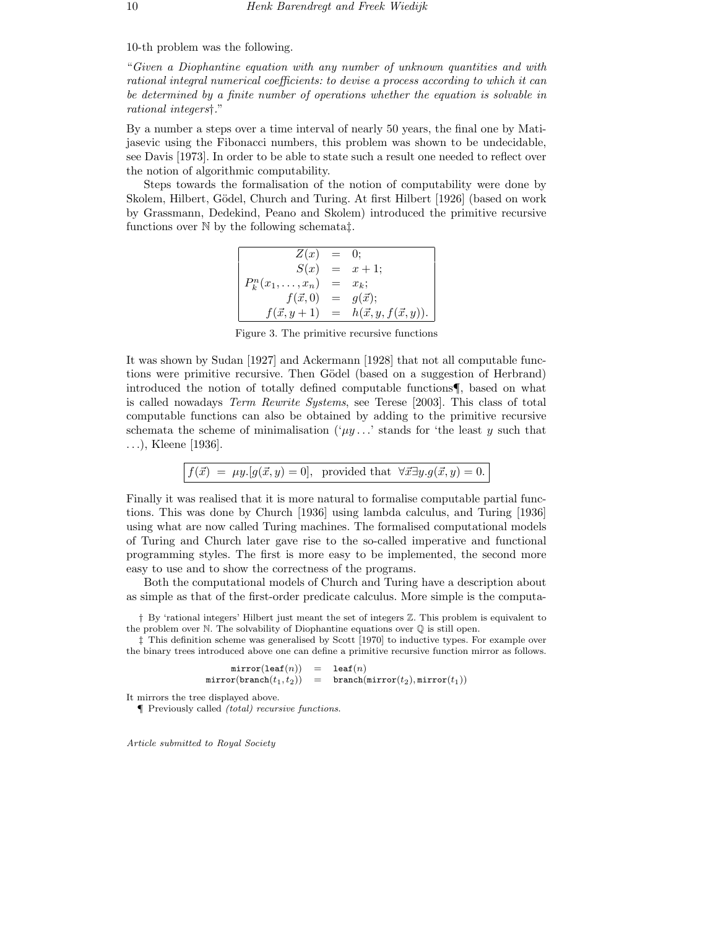10-th problem was the following.

"Given a Diophantine equation with any number of unknown quantities and with rational integral numerical coefficients: to devise a process according to which it can be determined by a finite number of operations whether the equation is solvable in rational integers†."

By a number a steps over a time interval of nearly 50 years, the final one by Matijasevic using the Fibonacci numbers, this problem was shown to be undecidable, see Davis [1973]. In order to be able to state such a result one needed to reflect over the notion of algorithmic computability.

Steps towards the formalisation of the notion of computability were done by Skolem, Hilbert, Gödel, Church and Turing. At first Hilbert [1926] (based on work by Grassmann, Dedekind, Peano and Skolem) introduced the primitive recursive functions over N by the following schemata‡.

| Z(x)                    | $=$ 0: |                                 |
|-------------------------|--------|---------------------------------|
| S(x)                    |        | $= x + 1;$                      |
| $P_k^n(x_1,\ldots,x_n)$ | $=$    | $x_k$ ;                         |
| $f(\vec{x},0)$          | $=$    | $g(\vec{x});$                   |
| $f(\vec{x}, y+1)$       | $=$    | $h(\vec{x}, y, f(\vec{x}, y)).$ |

Figure 3. The primitive recursive functions

It was shown by Sudan [1927] and Ackermann [1928] that not all computable functions were primitive recursive. Then Gödel (based on a suggestion of Herbrand) introduced the notion of totally defined computable functions¶, based on what is called nowadays Term Rewrite Systems, see Terese [2003]. This class of total computable functions can also be obtained by adding to the primitive recursive schemata the scheme of minimalisation  $(\mu y \dots)$  stands for 'the least y such that . . .), Kleene [1936].

$$
f(\vec{x}) = \mu y. [g(\vec{x}, y) = 0], \text{ provided that } \forall \vec{x} \exists y. g(\vec{x}, y) = 0.
$$

Finally it was realised that it is more natural to formalise computable partial functions. This was done by Church [1936] using lambda calculus, and Turing [1936] using what are now called Turing machines. The formalised computational models of Turing and Church later gave rise to the so-called imperative and functional programming styles. The first is more easy to be implemented, the second more easy to use and to show the correctness of the programs.

Both the computational models of Church and Turing have a description about as simple as that of the first-order predicate calculus. More simple is the computa-

† By 'rational integers' Hilbert just meant the set of integers Z. This problem is equivalent to the problem over N. The solvability of Diophantine equations over Q is still open.

‡ This definition scheme was generalised by Scott [1970] to inductive types. For example over the binary trees introduced above one can define a primitive recursive function mirror as follows.

> $mirror(leaf(n)) = leaf(n)$  $mirror(branch(t_1, t_2)) = branch(mirror(t_2), mirror(t_1))$

It mirrors the tree displayed above.

¶ Previously called (total) recursive functions.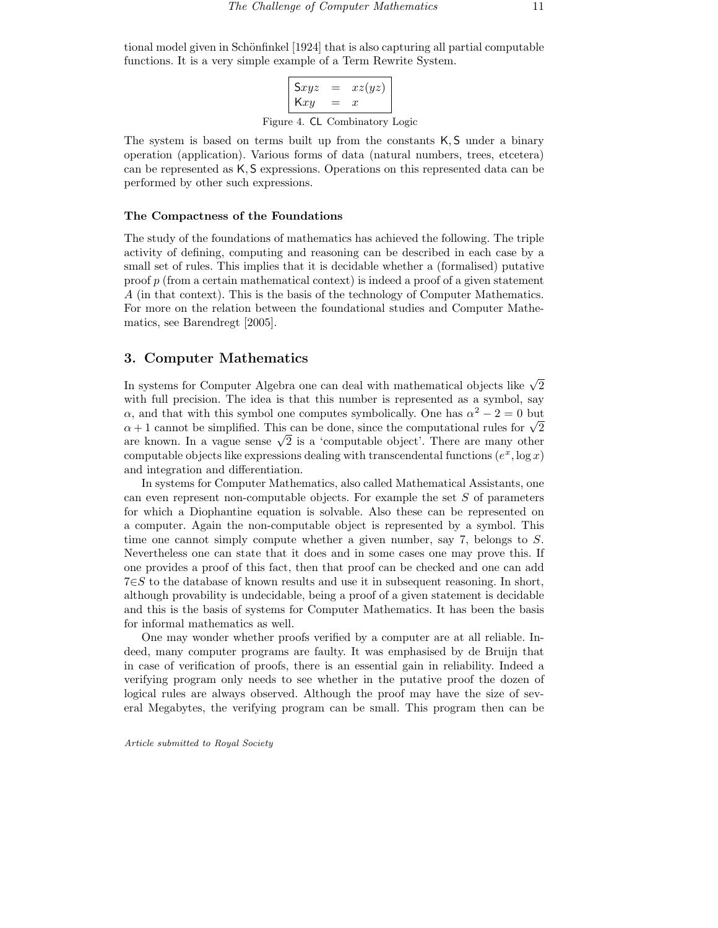tional model given in Schönfinkel [1924] that is also capturing all partial computable functions. It is a very simple example of a Term Rewrite System.

> $Sxyz = xz(yz)$  $Kxy = x$ Figure 4. CL Combinatory Logic

The system is based on terms built up from the constants K, S under a binary operation (application). Various forms of data (natural numbers, trees, etcetera) can be represented as K, S expressions. Operations on this represented data can be performed by other such expressions.

#### The Compactness of the Foundations

The study of the foundations of mathematics has achieved the following. The triple activity of defining, computing and reasoning can be described in each case by a small set of rules. This implies that it is decidable whether a (formalised) putative proof p (from a certain mathematical context) is indeed a proof of a given statement A (in that context). This is the basis of the technology of Computer Mathematics. For more on the relation between the foundational studies and Computer Mathematics, see Barendregt [2005].

## 3. Computer Mathematics

In systems for Computer Algebra one can deal with mathematical objects like  $\sqrt{2}$ with full precision. The idea is that this number is represented as a symbol, say  $\alpha$ , and that with this symbol one computes symbolically. One has  $\alpha^2 - 2 = 0$  but  $\alpha$  + 1 cannot be simplified. This can be done, since the computational rules for  $\sqrt{2}$ are known. In a vague sense  $\sqrt{2}$  is a 'computable object'. There are many other computable objects like expressions dealing with transcendental functions  $(e^x, \log x)$ and integration and differentiation.

In systems for Computer Mathematics, also called Mathematical Assistants, one can even represent non-computable objects. For example the set  $S$  of parameters for which a Diophantine equation is solvable. Also these can be represented on a computer. Again the non-computable object is represented by a symbol. This time one cannot simply compute whether a given number, say 7, belongs to S. Nevertheless one can state that it does and in some cases one may prove this. If one provides a proof of this fact, then that proof can be checked and one can add 7∈S to the database of known results and use it in subsequent reasoning. In short, although provability is undecidable, being a proof of a given statement is decidable and this is the basis of systems for Computer Mathematics. It has been the basis for informal mathematics as well.

One may wonder whether proofs verified by a computer are at all reliable. Indeed, many computer programs are faulty. It was emphasised by de Bruijn that in case of verification of proofs, there is an essential gain in reliability. Indeed a verifying program only needs to see whether in the putative proof the dozen of logical rules are always observed. Although the proof may have the size of several Megabytes, the verifying program can be small. This program then can be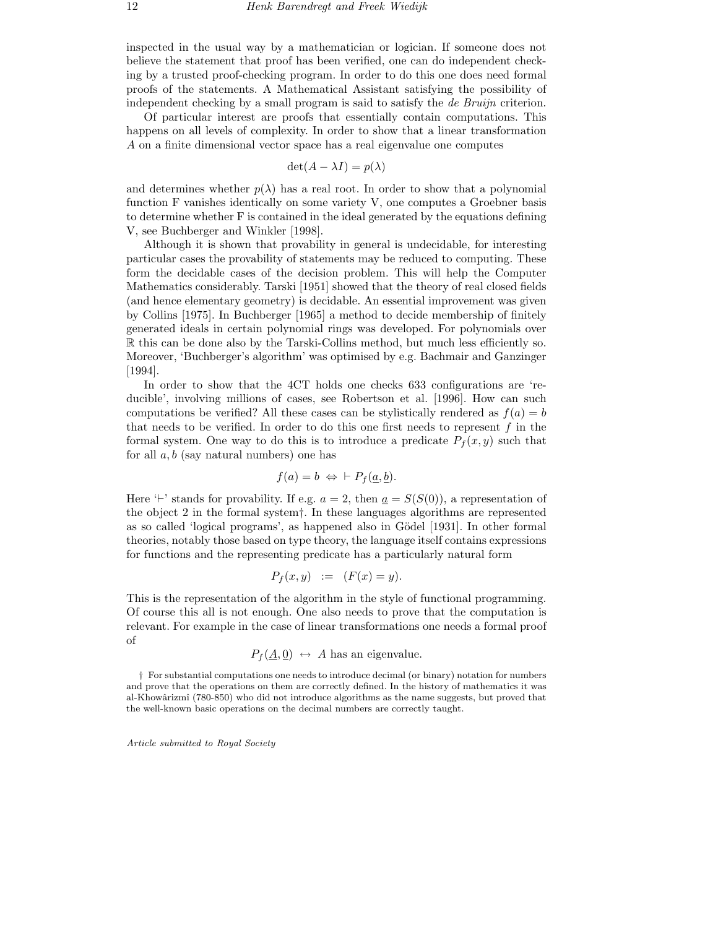inspected in the usual way by a mathematician or logician. If someone does not believe the statement that proof has been verified, one can do independent checking by a trusted proof-checking program. In order to do this one does need formal proofs of the statements. A Mathematical Assistant satisfying the possibility of independent checking by a small program is said to satisfy the de Bruijn criterion.

Of particular interest are proofs that essentially contain computations. This happens on all levels of complexity. In order to show that a linear transformation A on a finite dimensional vector space has a real eigenvalue one computes

$$
\det(A - \lambda I) = p(\lambda)
$$

and determines whether  $p(\lambda)$  has a real root. In order to show that a polynomial function F vanishes identically on some variety V, one computes a Groebner basis to determine whether F is contained in the ideal generated by the equations defining V, see Buchberger and Winkler [1998].

Although it is shown that provability in general is undecidable, for interesting particular cases the provability of statements may be reduced to computing. These form the decidable cases of the decision problem. This will help the Computer Mathematics considerably. Tarski [1951] showed that the theory of real closed fields (and hence elementary geometry) is decidable. An essential improvement was given by Collins [1975]. In Buchberger [1965] a method to decide membership of finitely generated ideals in certain polynomial rings was developed. For polynomials over R this can be done also by the Tarski-Collins method, but much less efficiently so. Moreover, 'Buchberger's algorithm' was optimised by e.g. Bachmair and Ganzinger [1994].

In order to show that the 4CT holds one checks 633 configurations are 'reducible', involving millions of cases, see Robertson et al. [1996]. How can such computations be verified? All these cases can be stylistically rendered as  $f(a) = b$ that needs to be verified. In order to do this one first needs to represent  $f$  in the formal system. One way to do this is to introduce a predicate  $P_f(x, y)$  such that for all  $a, b$  (say natural numbers) one has

$$
f(a) = b \Leftrightarrow \vdash P_f(\underline{a}, \underline{b}).
$$

Here  $\vdash'$  stands for provability. If e.g.  $a = 2$ , then  $\underline{a} = S(S(0))$ , a representation of the object 2 in the formal system†. In these languages algorithms are represented as so called 'logical programs', as happened also in Gödel [1931]. In other formal theories, notably those based on type theory, the language itself contains expressions for functions and the representing predicate has a particularly natural form

$$
P_f(x, y) := (F(x) = y).
$$

This is the representation of the algorithm in the style of functional programming. Of course this all is not enough. One also needs to prove that the computation is relevant. For example in the case of linear transformations one needs a formal proof of

$$
P_f(\underline{A}, \underline{0}) \leftrightarrow A
$$
 has an eigenvalue.

† For substantial computations one needs to introduce decimal (or binary) notation for numbers and prove that the operations on them are correctly defined. In the history of mathematics it was al-Khowârizmî (780-850) who did not introduce algorithms as the name suggests, but proved that the well-known basic operations on the decimal numbers are correctly taught.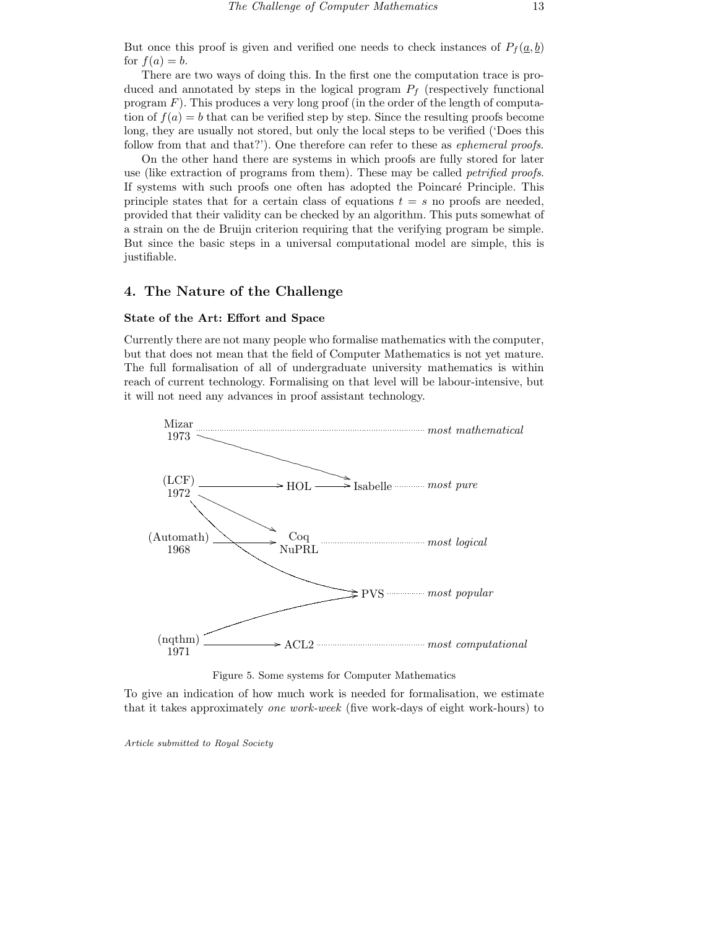But once this proof is given and verified one needs to check instances of  $P_f(\underline{a}, \underline{b})$ for  $f(a) = b$ .

There are two ways of doing this. In the first one the computation trace is produced and annotated by steps in the logical program  $P_f$  (respectively functional program  $F$ ). This produces a very long proof (in the order of the length of computation of  $f(a) = b$  that can be verified step by step. Since the resulting proofs become long, they are usually not stored, but only the local steps to be verified ('Does this follow from that and that?'). One therefore can refer to these as *ephemeral proofs*.

On the other hand there are systems in which proofs are fully stored for later use (like extraction of programs from them). These may be called *petrified proofs*. If systems with such proofs one often has adopted the Poincaré Principle. This principle states that for a certain class of equations  $t = s$  no proofs are needed, provided that their validity can be checked by an algorithm. This puts somewhat of a strain on the de Bruijn criterion requiring that the verifying program be simple. But since the basic steps in a universal computational model are simple, this is justifiable.

## 4. The Nature of the Challenge

#### State of the Art: Effort and Space

Currently there are not many people who formalise mathematics with the computer, but that does not mean that the field of Computer Mathematics is not yet mature. The full formalisation of all of undergraduate university mathematics is within reach of current technology. Formalising on that level will be labour-intensive, but it will not need any advances in proof assistant technology.



Figure 5. Some systems for Computer Mathematics

To give an indication of how much work is needed for formalisation, we estimate that it takes approximately one work-week (five work-days of eight work-hours) to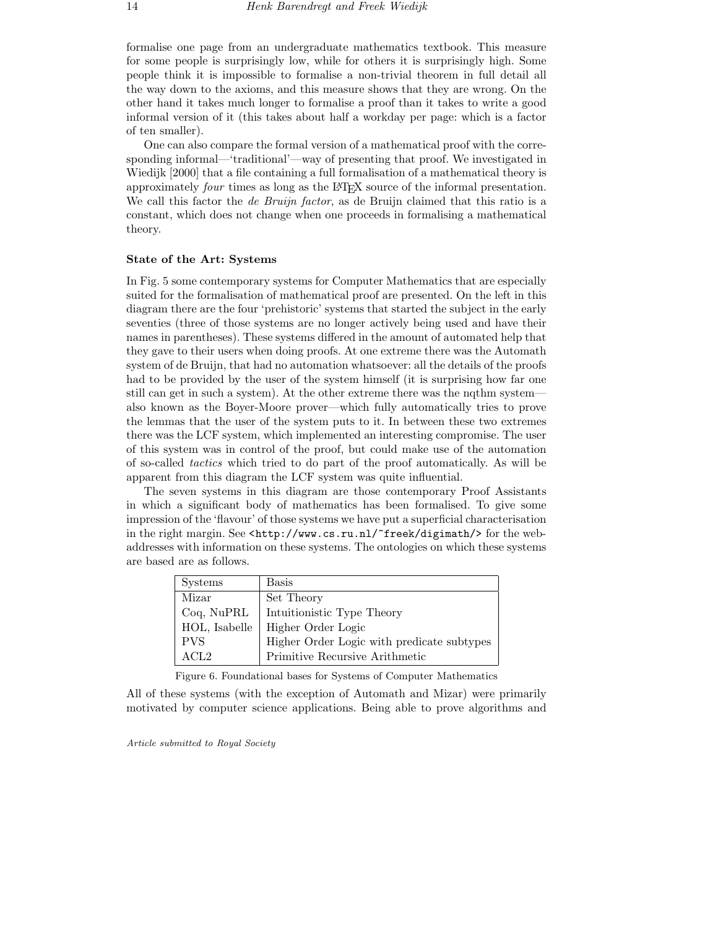formalise one page from an undergraduate mathematics textbook. This measure for some people is surprisingly low, while for others it is surprisingly high. Some people think it is impossible to formalise a non-trivial theorem in full detail all the way down to the axioms, and this measure shows that they are wrong. On the other hand it takes much longer to formalise a proof than it takes to write a good informal version of it (this takes about half a workday per page: which is a factor of ten smaller).

One can also compare the formal version of a mathematical proof with the corresponding informal—'traditional'—way of presenting that proof. We investigated in Wiedijk [2000] that a file containing a full formalisation of a mathematical theory is approximately four times as long as the L<sup>A</sup>TEX source of the informal presentation. We call this factor the *de Bruijn factor*, as de Bruijn claimed that this ratio is a constant, which does not change when one proceeds in formalising a mathematical theory.

#### State of the Art: Systems

In Fig. 5 some contemporary systems for Computer Mathematics that are especially suited for the formalisation of mathematical proof are presented. On the left in this diagram there are the four 'prehistoric' systems that started the subject in the early seventies (three of those systems are no longer actively being used and have their names in parentheses). These systems differed in the amount of automated help that they gave to their users when doing proofs. At one extreme there was the Automath system of de Bruijn, that had no automation whatsoever: all the details of the proofs had to be provided by the user of the system himself (it is surprising how far one still can get in such a system). At the other extreme there was the nqthm system also known as the Boyer-Moore prover—which fully automatically tries to prove the lemmas that the user of the system puts to it. In between these two extremes there was the LCF system, which implemented an interesting compromise. The user of this system was in control of the proof, but could make use of the automation of so-called tactics which tried to do part of the proof automatically. As will be apparent from this diagram the LCF system was quite influential.

The seven systems in this diagram are those contemporary Proof Assistants in which a significant body of mathematics has been formalised. To give some impression of the 'flavour' of those systems we have put a superficial characterisation in the right margin. See <http://www.cs.ru.nl/~freek/digimath/> for the webaddresses with information on these systems. The ontologies on which these systems are based are as follows.

| <b>Systems</b> | <b>Basis</b>                               |
|----------------|--------------------------------------------|
| Mizar          | Set Theory                                 |
| $Coq$ , NuPRL  | Intuitionistic Type Theory                 |
| HOL, Isabelle  | Higher Order Logic                         |
| <b>PVS</b>     | Higher Order Logic with predicate subtypes |
| ACL2           | Primitive Recursive Arithmetic             |

Figure 6. Foundational bases for Systems of Computer Mathematics

All of these systems (with the exception of Automath and Mizar) were primarily motivated by computer science applications. Being able to prove algorithms and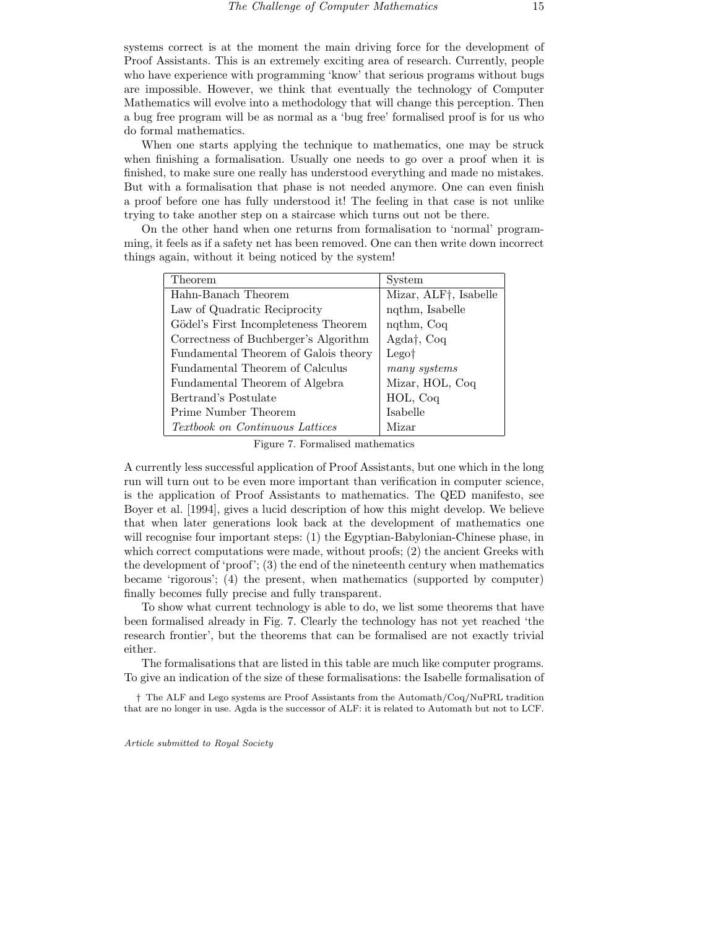systems correct is at the moment the main driving force for the development of Proof Assistants. This is an extremely exciting area of research. Currently, people who have experience with programming 'know' that serious programs without bugs are impossible. However, we think that eventually the technology of Computer Mathematics will evolve into a methodology that will change this perception. Then a bug free program will be as normal as a 'bug free' formalised proof is for us who do formal mathematics.

When one starts applying the technique to mathematics, one may be struck when finishing a formalisation. Usually one needs to go over a proof when it is finished, to make sure one really has understood everything and made no mistakes. But with a formalisation that phase is not needed anymore. One can even finish a proof before one has fully understood it! The feeling in that case is not unlike trying to take another step on a staircase which turns out not be there.

On the other hand when one returns from formalisation to 'normal' programming, it feels as if a safety net has been removed. One can then write down incorrect things again, without it being noticed by the system!

| Theorem                                | System                |
|----------------------------------------|-----------------------|
| Hahn-Banach Theorem                    | Mizar, ALF†, Isabelle |
| Law of Quadratic Reciprocity           | nqthm, Isabelle       |
| Gödel's First Incompleteness Theorem   | ngthm, Coq            |
| Correctness of Buchberger's Algorithm  | Agda†, $Coq$          |
| Fundamental Theorem of Galois theory   | Lego <sup>†</sup>     |
| Fundamental Theorem of Calculus        | many systems          |
| Fundamental Theorem of Algebra         | Mizar, HOL, Coq       |
| Bertrand's Postulate                   | HOL, Coq              |
| Prime Number Theorem                   | Isabelle              |
| <i>Textbook on Continuous Lattices</i> | Mizar                 |

Figure 7. Formalised mathematics

A currently less successful application of Proof Assistants, but one which in the long run will turn out to be even more important than verification in computer science, is the application of Proof Assistants to mathematics. The QED manifesto, see Boyer et al. [1994], gives a lucid description of how this might develop. We believe that when later generations look back at the development of mathematics one will recognise four important steps: (1) the Egyptian-Babylonian-Chinese phase, in which correct computations were made, without proofs; (2) the ancient Greeks with the development of 'proof';  $(3)$  the end of the nineteenth century when mathematics became 'rigorous'; (4) the present, when mathematics (supported by computer) finally becomes fully precise and fully transparent.

To show what current technology is able to do, we list some theorems that have been formalised already in Fig. 7. Clearly the technology has not yet reached 'the research frontier', but the theorems that can be formalised are not exactly trivial either.

The formalisations that are listed in this table are much like computer programs. To give an indication of the size of these formalisations: the Isabelle formalisation of

† The ALF and Lego systems are Proof Assistants from the Automath/Coq/NuPRL tradition that are no longer in use. Agda is the successor of ALF: it is related to Automath but not to LCF.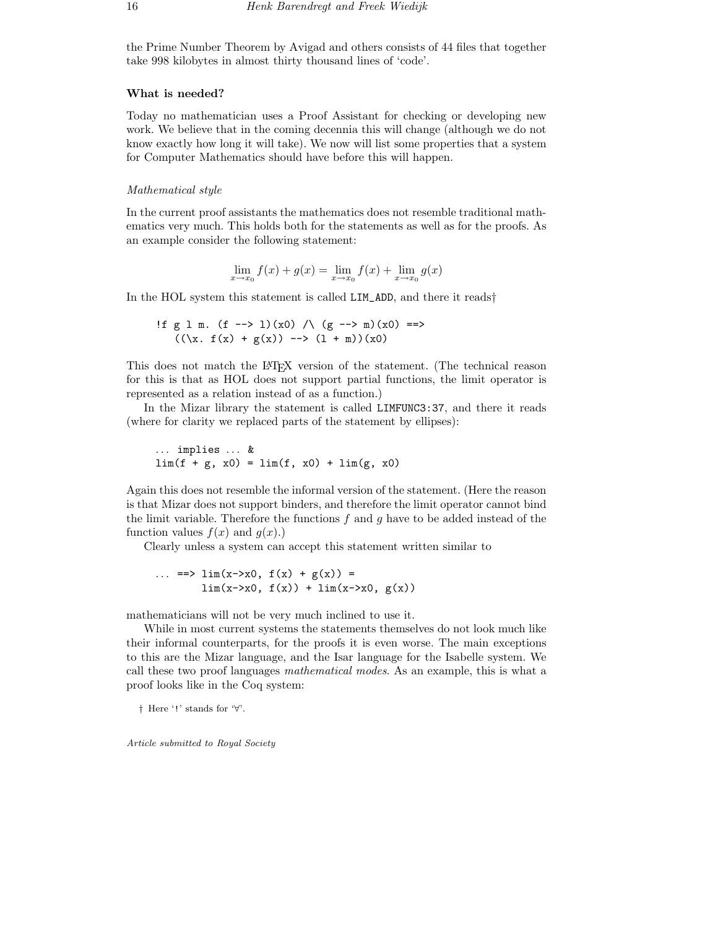the Prime Number Theorem by Avigad and others consists of 44 files that together take 998 kilobytes in almost thirty thousand lines of 'code'.

#### What is needed?

Today no mathematician uses a Proof Assistant for checking or developing new work. We believe that in the coming decennia this will change (although we do not know exactly how long it will take). We now will list some properties that a system for Computer Mathematics should have before this will happen.

#### Mathematical style

In the current proof assistants the mathematics does not resemble traditional mathematics very much. This holds both for the statements as well as for the proofs. As an example consider the following statement:

$$
\lim_{x \to x_0} f(x) + g(x) = \lim_{x \to x_0} f(x) + \lim_{x \to x_0} g(x)
$$

In the HOL system this statement is called LIM\_ADD, and there it reads†

If g 1 m. (f 
$$
\rightarrow
$$
 1)(x0) / \ (g  $\rightarrow$  m)(x0) ==  
\n((\x. f(x) + g(x))  $\rightarrow$  (1 + m))(x0)

This does not match the LAT<sub>EX</sub> version of the statement. (The technical reason for this is that as HOL does not support partial functions, the limit operator is represented as a relation instead of as a function.)

In the Mizar library the statement is called LIMFUNC3:37, and there it reads (where for clarity we replaced parts of the statement by ellipses):

$$
\dots \implies \dots \&
$$
  
lim(f + g, x0) = lim(f, x0) + lim(g, x0)

Again this does not resemble the informal version of the statement. (Here the reason is that Mizar does not support binders, and therefore the limit operator cannot bind the limit variable. Therefore the functions  $f$  and  $g$  have to be added instead of the function values  $f(x)$  and  $q(x)$ .

Clearly unless a system can accept this statement written similar to

... 
$$
\Rightarrow \lim(x - \ge 0, f(x) + g(x)) =
$$
  
\n $\lim(x - \ge 0, f(x)) + \lim(x - \ge x0, g(x))$ 

mathematicians will not be very much inclined to use it.

While in most current systems the statements themselves do not look much like their informal counterparts, for the proofs it is even worse. The main exceptions to this are the Mizar language, and the Isar language for the Isabelle system. We call these two proof languages mathematical modes. As an example, this is what a proof looks like in the Coq system:

† Here '!' stands for '∀'.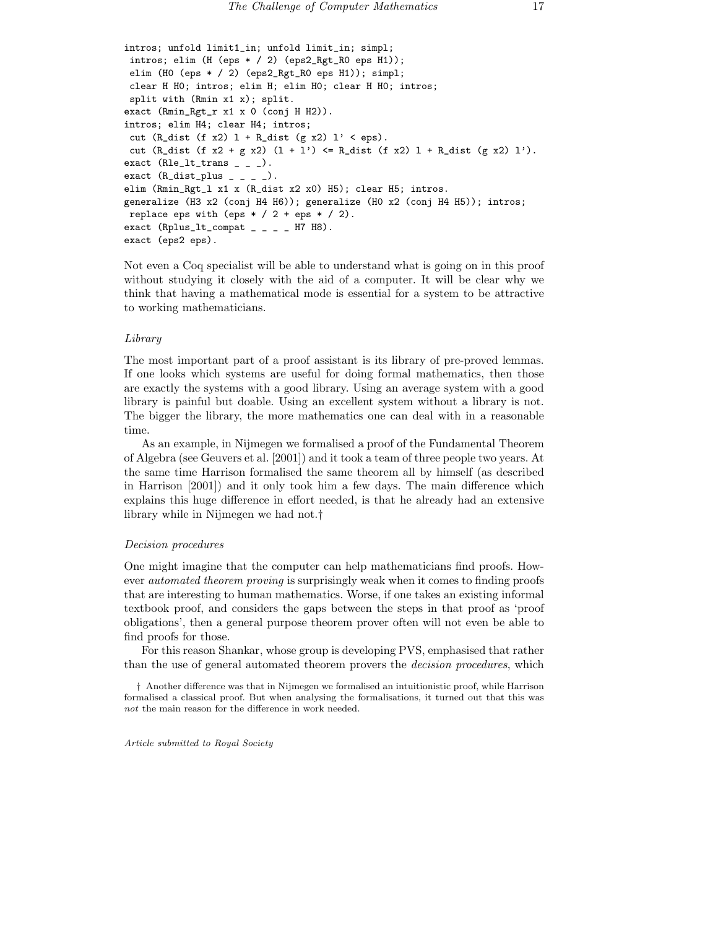```
intros; unfold limit1_in; unfold limit_in; simpl;
intros; elim (H (eps * / 2) (eps2_Rgt_R0 eps H1));
elim (H0 (eps * / 2) (eps2_Rgt_R0 eps H1)); simpl;
clear H H0; intros; elim H; elim H0; clear H H0; intros;
split with (Rmin x1 x); split.
exact (Rmin_Rgt_r x1 x 0 (conj H H2)).
intros; elim H4; clear H4; intros;
cut (R_dist (f x2) 1 + R_dist (g x2) 1' < eps).
cut (R_dist (f x2 + g x2) (1 + 1') <= R_dist (f x2) 1 + R_dist (g x2) 1').
exact (Rle_l t_{trans} = - ).
exact (R\_dist\_plus _ - _ - ).
elim (Rmin_Rgt_l x1 x (R_dist x2 x0) H5); clear H5; intros.
generalize (H3 x2 (conj H4 H6)); generalize (H0 x2 (conj H4 H5)); intros;
replace eps with (eps * / 2 + eps * / 2).
exact (Rplus_lt_{compat} _ _ _ H7 H8).
exact (eps2 eps).
```
Not even a Coq specialist will be able to understand what is going on in this proof without studying it closely with the aid of a computer. It will be clear why we think that having a mathematical mode is essential for a system to be attractive to working mathematicians.

#### Library

The most important part of a proof assistant is its library of pre-proved lemmas. If one looks which systems are useful for doing formal mathematics, then those are exactly the systems with a good library. Using an average system with a good library is painful but doable. Using an excellent system without a library is not. The bigger the library, the more mathematics one can deal with in a reasonable time.

As an example, in Nijmegen we formalised a proof of the Fundamental Theorem of Algebra (see Geuvers et al. [2001]) and it took a team of three people two years. At the same time Harrison formalised the same theorem all by himself (as described in Harrison [2001]) and it only took him a few days. The main difference which explains this huge difference in effort needed, is that he already had an extensive library while in Nijmegen we had not.†

#### Decision procedures

One might imagine that the computer can help mathematicians find proofs. However *automated theorem proving* is surprisingly weak when it comes to finding proofs that are interesting to human mathematics. Worse, if one takes an existing informal textbook proof, and considers the gaps between the steps in that proof as 'proof obligations', then a general purpose theorem prover often will not even be able to find proofs for those.

For this reason Shankar, whose group is developing PVS, emphasised that rather than the use of general automated theorem provers the *decision procedures*, which

† Another difference was that in Nijmegen we formalised an intuitionistic proof, while Harrison formalised a classical proof. But when analysing the formalisations, it turned out that this was not the main reason for the difference in work needed.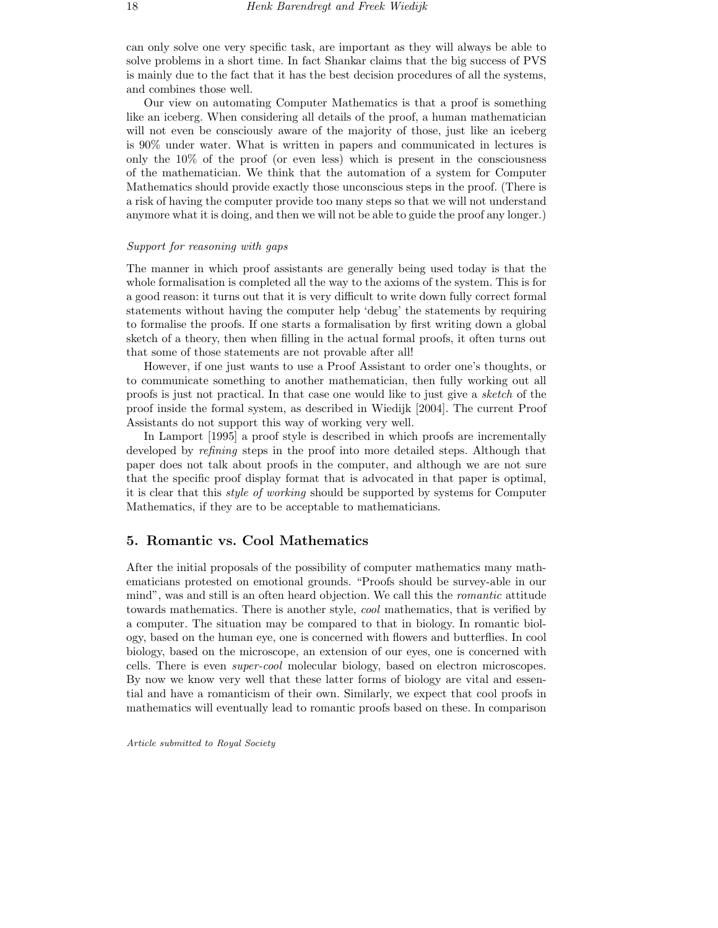can only solve one very specific task, are important as they will always be able to solve problems in a short time. In fact Shankar claims that the big success of PVS is mainly due to the fact that it has the best decision procedures of all the systems, and combines those well.

Our view on automating Computer Mathematics is that a proof is something like an iceberg. When considering all details of the proof, a human mathematician will not even be consciously aware of the majority of those, just like an iceberg is 90% under water. What is written in papers and communicated in lectures is only the 10% of the proof (or even less) which is present in the consciousness of the mathematician. We think that the automation of a system for Computer Mathematics should provide exactly those unconscious steps in the proof. (There is a risk of having the computer provide too many steps so that we will not understand anymore what it is doing, and then we will not be able to guide the proof any longer.)

#### Support for reasoning with gaps

The manner in which proof assistants are generally being used today is that the whole formalisation is completed all the way to the axioms of the system. This is for a good reason: it turns out that it is very difficult to write down fully correct formal statements without having the computer help 'debug' the statements by requiring to formalise the proofs. If one starts a formalisation by first writing down a global sketch of a theory, then when filling in the actual formal proofs, it often turns out that some of those statements are not provable after all!

However, if one just wants to use a Proof Assistant to order one's thoughts, or to communicate something to another mathematician, then fully working out all proofs is just not practical. In that case one would like to just give a sketch of the proof inside the formal system, as described in Wiedijk [2004]. The current Proof Assistants do not support this way of working very well.

In Lamport [1995] a proof style is described in which proofs are incrementally developed by *refining* steps in the proof into more detailed steps. Although that paper does not talk about proofs in the computer, and although we are not sure that the specific proof display format that is advocated in that paper is optimal, it is clear that this style of working should be supported by systems for Computer Mathematics, if they are to be acceptable to mathematicians.

## 5. Romantic vs. Cool Mathematics

After the initial proposals of the possibility of computer mathematics many mathematicians protested on emotional grounds. "Proofs should be survey-able in our mind", was and still is an often heard objection. We call this the romantic attitude towards mathematics. There is another style, cool mathematics, that is verified by a computer. The situation may be compared to that in biology. In romantic biology, based on the human eye, one is concerned with flowers and butterflies. In cool biology, based on the microscope, an extension of our eyes, one is concerned with cells. There is even super-cool molecular biology, based on electron microscopes. By now we know very well that these latter forms of biology are vital and essential and have a romanticism of their own. Similarly, we expect that cool proofs in mathematics will eventually lead to romantic proofs based on these. In comparison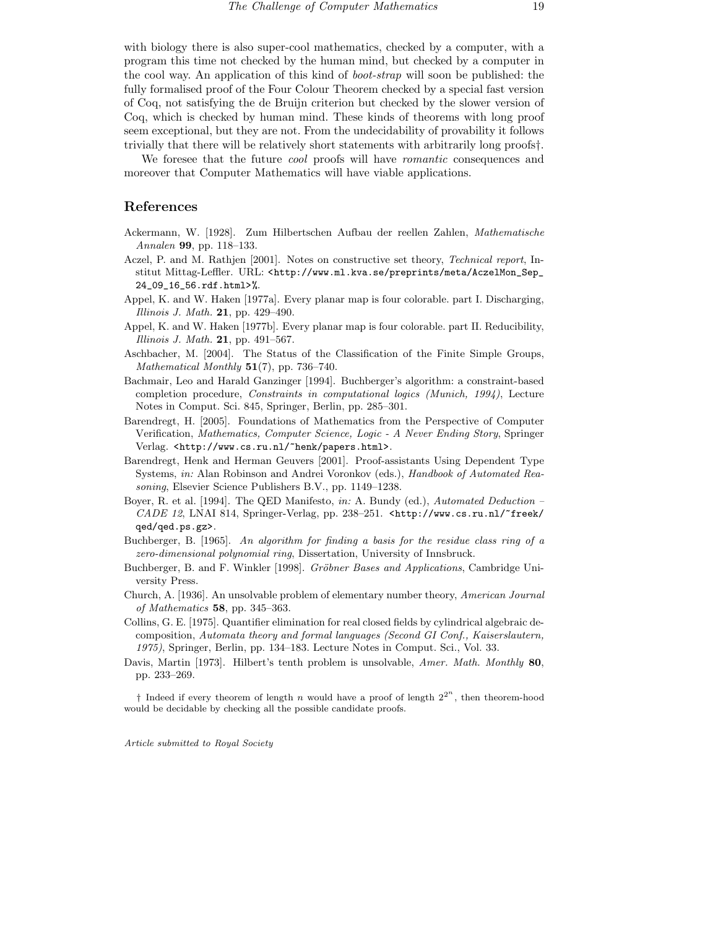with biology there is also super-cool mathematics, checked by a computer, with a program this time not checked by the human mind, but checked by a computer in the cool way. An application of this kind of boot-strap will soon be published: the fully formalised proof of the Four Colour Theorem checked by a special fast version of Coq, not satisfying the de Bruijn criterion but checked by the slower version of Coq, which is checked by human mind. These kinds of theorems with long proof seem exceptional, but they are not. From the undecidability of provability it follows trivially that there will be relatively short statements with arbitrarily long proofs†.

We foresee that the future *cool* proofs will have *romantic* consequences and moreover that Computer Mathematics will have viable applications.

## References

- Ackermann, W. [1928]. Zum Hilbertschen Aufbau der reellen Zahlen, Mathematische Annalen 99, pp. 118-133.
- Aczel, P. and M. Rathien [2001]. Notes on constructive set theory, Technical report, Institut Mittag-Leffler. URL: <http://www.ml.kva.se/preprints/meta/AczelMon\_Sep\_ 24\_09\_16\_56.rdf.html>%.
- Appel, K. and W. Haken [1977a]. Every planar map is four colorable. part I. Discharging, *Illinois J. Math.* **21**, pp. 429–490.
- Appel, K. and W. Haken [1977b]. Every planar map is four colorable. part II. Reducibility, Illinois J. Math.  $21$ , pp. 491–567.
- Aschbacher, M. [2004]. The Status of the Classification of the Finite Simple Groups, Mathematical Monthly  $51(7)$ , pp. 736–740.
- Bachmair, Leo and Harald Ganzinger [1994]. Buchberger's algorithm: a constraint-based completion procedure, Constraints in computational logics (Munich, 1994), Lecture Notes in Comput. Sci. 845, Springer, Berlin, pp. 285–301.
- Barendregt, H. [2005]. Foundations of Mathematics from the Perspective of Computer Verification, Mathematics, Computer Science, Logic - A Never Ending Story, Springer Verlag. <http://www.cs.ru.nl/~henk/papers.html>.
- Barendregt, Henk and Herman Geuvers [2001]. Proof-assistants Using Dependent Type Systems, in: Alan Robinson and Andrei Voronkov (eds.), Handbook of Automated Reasoning, Elsevier Science Publishers B.V., pp. 1149–1238.
- Boyer, R. et al. [1994]. The QED Manifesto, in: A. Bundy (ed.), Automated Deduction CADE 12, LNAI 814, Springer-Verlag, pp. 238–251. <http://www.cs.ru.nl/~freek/ qed/qed.ps.gz>.
- Buchberger, B. [1965]. An algorithm for finding a basis for the residue class ring of a zero-dimensional polynomial ring, Dissertation, University of Innsbruck.
- Buchberger, B. and F. Winkler [1998]. Gröbner Bases and Applications, Cambridge University Press.
- Church, A. [1936]. An unsolvable problem of elementary number theory, American Journal of Mathematics  $58$ , pp. 345–363.
- Collins, G. E. [1975]. Quantifier elimination for real closed fields by cylindrical algebraic decomposition, Automata theory and formal languages (Second GI Conf., Kaiserslautern, 1975), Springer, Berlin, pp. 134–183. Lecture Notes in Comput. Sci., Vol. 33.
- Davis, Martin [1973]. Hilbert's tenth problem is unsolvable, Amer. Math. Monthly 80, pp. 233–269.

<sup>†</sup> Indeed if every theorem of length n would have a proof of length  $2^{2^n}$ , then theorem-hood would be decidable by checking all the possible candidate proofs.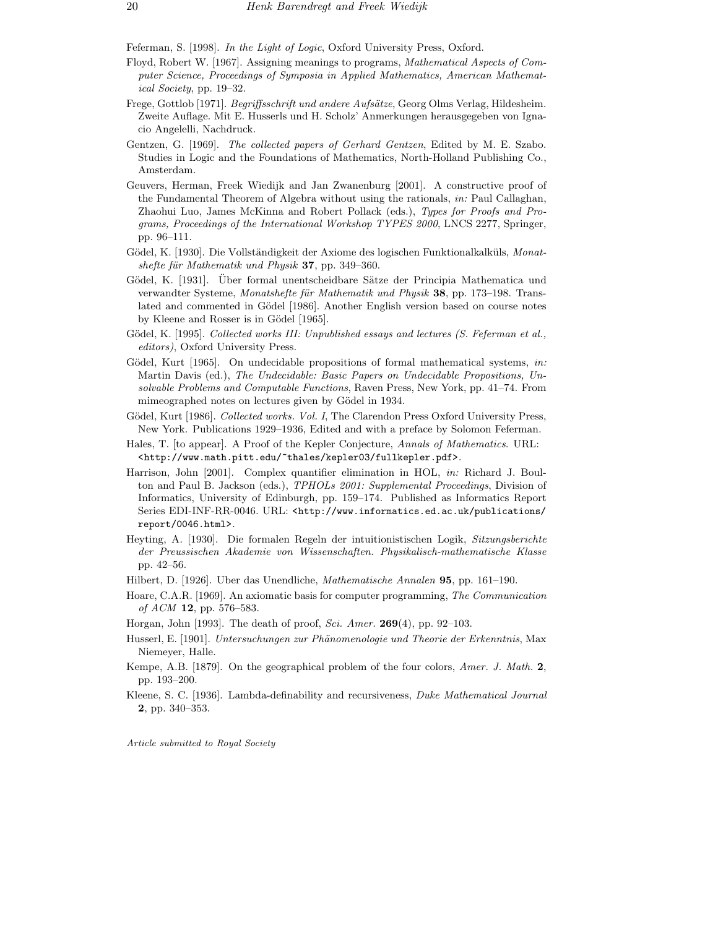Feferman, S. [1998]. In the Light of Logic, Oxford University Press, Oxford.

- Floyd, Robert W. [1967]. Assigning meanings to programs, Mathematical Aspects of Computer Science, Proceedings of Symposia in Applied Mathematics, American Mathematical Society, pp. 19–32.
- Frege, Gottlob [1971]. Begriffsschrift und andere Aufsätze, Georg Olms Verlag, Hildesheim. Zweite Auflage. Mit E. Husserls und H. Scholz' Anmerkungen herausgegeben von Ignacio Angelelli, Nachdruck.
- Gentzen, G. [1969]. The collected papers of Gerhard Gentzen, Edited by M. E. Szabo. Studies in Logic and the Foundations of Mathematics, North-Holland Publishing Co., Amsterdam.
- Geuvers, Herman, Freek Wiedijk and Jan Zwanenburg [2001]. A constructive proof of the Fundamental Theorem of Algebra without using the rationals, in: Paul Callaghan, Zhaohui Luo, James McKinna and Robert Pollack (eds.), Types for Proofs and Programs, Proceedings of the International Workshop TYPES 2000, LNCS 2277, Springer, pp. 96–111.
- Gödel, K. [1930]. Die Vollständigkeit der Axiome des logischen Funktionalkalküls, Monatshefte für Mathematik und Physik 37, pp. 349–360.
- Gödel, K. [1931]. Über formal unentscheidbare Sätze der Principia Mathematica und verwandter Systeme, Monatshefte für Mathematik und Physik 38, pp. 173–198. Translated and commented in Gödel [1986]. Another English version based on course notes by Kleene and Rosser is in Gödel [1965].
- Gödel, K. [1995]. Collected works III: Unpublished essays and lectures (S. Feferman et al., editors), Oxford University Press.
- Gödel, Kurt [1965]. On undecidable propositions of formal mathematical systems, in: Martin Davis (ed.), The Undecidable: Basic Papers on Undecidable Propositions, Unsolvable Problems and Computable Functions, Raven Press, New York, pp. 41–74. From mimeographed notes on lectures given by Gödel in 1934.
- Gödel, Kurt [1986]. Collected works. Vol. I, The Clarendon Press Oxford University Press, New York. Publications 1929–1936, Edited and with a preface by Solomon Feferman.
- Hales, T. [to appear]. A Proof of the Kepler Conjecture, Annals of Mathematics. URL: <http://www.math.pitt.edu/~thales/kepler03/fullkepler.pdf>.
- Harrison, John [2001]. Complex quantifier elimination in HOL, in: Richard J. Boulton and Paul B. Jackson (eds.), TPHOLs 2001: Supplemental Proceedings, Division of Informatics, University of Edinburgh, pp. 159–174. Published as Informatics Report Series EDI-INF-RR-0046. URL: <http://www.informatics.ed.ac.uk/publications/ report/0046.html>.
- Heyting, A. [1930]. Die formalen Regeln der intuitionistischen Logik, Sitzungsberichte der Preussischen Akademie von Wissenschaften. Physikalisch-mathematische Klasse pp. 42–56.
- Hilbert, D. [1926]. Uber das Unendliche, Mathematische Annalen 95, pp. 161–190.
- Hoare, C.A.R. [1969]. An axiomatic basis for computer programming, The Communication of  $ACM$  12, pp. 576–583.
- Horgan, John [1993]. The death of proof, Sci. Amer. **269**(4), pp. 92–103.
- Husserl, E. [1901]. Untersuchungen zur Phänomenologie und Theorie der Erkenntnis, Max Niemeyer, Halle.
- Kempe, A.B. [1879]. On the geographical problem of the four colors, Amer. J. Math. 2, pp. 193–200.
- Kleene, S. C. [1936]. Lambda-definability and recursiveness, Duke Mathematical Journal 2, pp. 340–353.